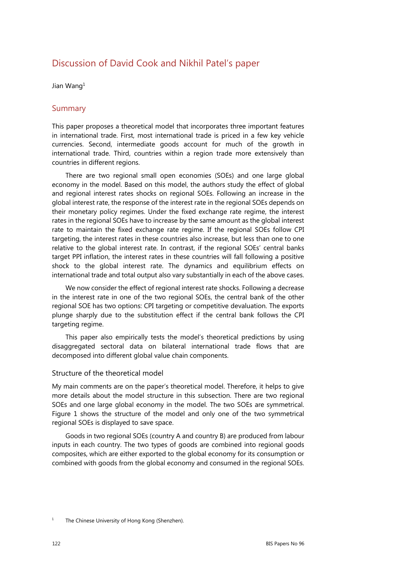# Discussion of David Cook and Nikhil Patel's paper

Jian Wang1

### Summary

This paper proposes a theoretical model that incorporates three important features in international trade. First, most international trade is priced in a few key vehicle currencies. Second, intermediate goods account for much of the growth in international trade. Third, countries within a region trade more extensively than countries in different regions.

There are two regional small open economies (SOEs) and one large global economy in the model. Based on this model, the authors study the effect of global and regional interest rates shocks on regional SOEs. Following an increase in the global interest rate, the response of the interest rate in the regional SOEs depends on their monetary policy regimes. Under the fixed exchange rate regime, the interest rates in the regional SOEs have to increase by the same amount as the global interest rate to maintain the fixed exchange rate regime. If the regional SOEs follow CPI targeting, the interest rates in these countries also increase, but less than one to one relative to the global interest rate. In contrast, if the regional SOEs' central banks target PPI inflation, the interest rates in these countries will fall following a positive shock to the global interest rate. The dynamics and equilibrium effects on international trade and total output also vary substantially in each of the above cases.

We now consider the effect of regional interest rate shocks. Following a decrease in the interest rate in one of the two regional SOEs, the central bank of the other regional SOE has two options: CPI targeting or competitive devaluation. The exports plunge sharply due to the substitution effect if the central bank follows the CPI targeting regime.

This paper also empirically tests the model's theoretical predictions by using disaggregated sectoral data on bilateral international trade flows that are decomposed into different global value chain components.

#### Structure of the theoretical model

My main comments are on the paper's theoretical model. Therefore, it helps to give more details about the model structure in this subsection. There are two regional SOEs and one large global economy in the model. The two SOEs are symmetrical. Figure 1 shows the structure of the model and only one of the two symmetrical regional SOEs is displayed to save space.

Goods in two regional SOEs (country A and country B) are produced from labour inputs in each country. The two types of goods are combined into regional goods composites, which are either exported to the global economy for its consumption or combined with goods from the global economy and consumed in the regional SOEs.

<sup>1</sup> The Chinese University of Hong Kong (Shenzhen).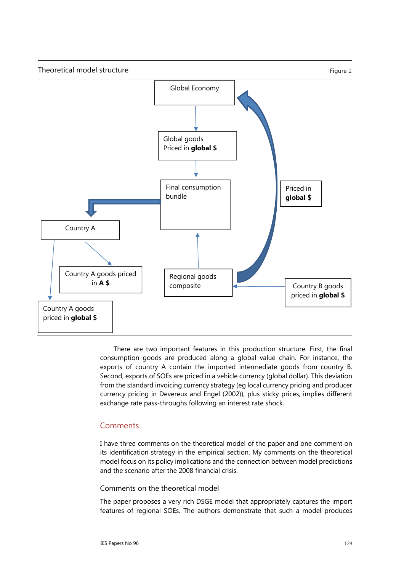

There are two important features in this production structure. First, the final consumption goods are produced along a global value chain. For instance, the exports of country A contain the imported intermediate goods from country B. Second, exports of SOEs are priced in a vehicle currency (global dollar). This deviation from the standard invoicing currency strategy (eg local currency pricing and producer currency pricing in Devereux and Engel (2002)), plus sticky prices, implies different exchange rate pass-throughs following an interest rate shock.

## **Comments**

I have three comments on the theoretical model of the paper and one comment on its identification strategy in the empirical section. My comments on the theoretical model focus on its policy implications and the connection between model predictions and the scenario after the 2008 financial crisis.

#### Comments on the theoretical model

The paper proposes a very rich DSGE model that appropriately captures the import features of regional SOEs. The authors demonstrate that such a model produces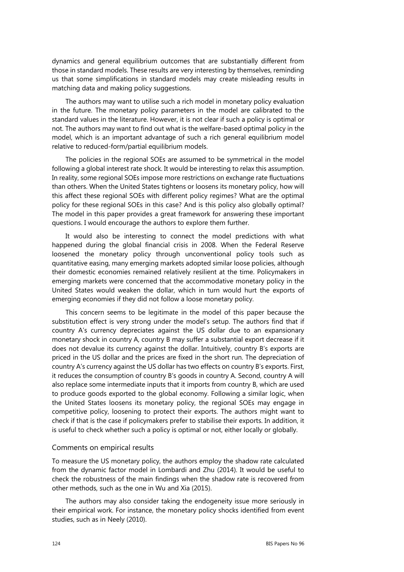dynamics and general equilibrium outcomes that are substantially different from those in standard models. These results are very interesting by themselves, reminding us that some simplifications in standard models may create misleading results in matching data and making policy suggestions.

The authors may want to utilise such a rich model in monetary policy evaluation in the future. The monetary policy parameters in the model are calibrated to the standard values in the literature. However, it is not clear if such a policy is optimal or not. The authors may want to find out what is the welfare-based optimal policy in the model, which is an important advantage of such a rich general equilibrium model relative to reduced-form/partial equilibrium models.

The policies in the regional SOEs are assumed to be symmetrical in the model following a global interest rate shock. It would be interesting to relax this assumption. In reality, some regional SOEs impose more restrictions on exchange rate fluctuations than others. When the United States tightens or loosens its monetary policy, how will this affect these regional SOEs with different policy regimes? What are the optimal policy for these regional SOEs in this case? And is this policy also globally optimal? The model in this paper provides a great framework for answering these important questions. I would encourage the authors to explore them further.

It would also be interesting to connect the model predictions with what happened during the global financial crisis in 2008. When the Federal Reserve loosened the monetary policy through unconventional policy tools such as quantitative easing, many emerging markets adopted similar loose policies, although their domestic economies remained relatively resilient at the time. Policymakers in emerging markets were concerned that the accommodative monetary policy in the United States would weaken the dollar, which in turn would hurt the exports of emerging economies if they did not follow a loose monetary policy.

This concern seems to be legitimate in the model of this paper because the substitution effect is very strong under the model's setup. The authors find that if country A's currency depreciates against the US dollar due to an expansionary monetary shock in country A, country B may suffer a substantial export decrease if it does not devalue its currency against the dollar. Intuitively, country B's exports are priced in the US dollar and the prices are fixed in the short run. The depreciation of country A's currency against the US dollar has two effects on country B's exports. First, it reduces the consumption of country B's goods in country A. Second, country A will also replace some intermediate inputs that it imports from country B, which are used to produce goods exported to the global economy. Following a similar logic, when the United States loosens its monetary policy, the regional SOEs may engage in competitive policy, loosening to protect their exports. The authors might want to check if that is the case if policymakers prefer to stabilise their exports. In addition, it is useful to check whether such a policy is optimal or not, either locally or globally.

#### Comments on empirical results

To measure the US monetary policy, the authors employ the shadow rate calculated from the dynamic factor model in Lombardi and Zhu (2014). It would be useful to check the robustness of the main findings when the shadow rate is recovered from other methods, such as the one in Wu and Xia (2015).

The authors may also consider taking the endogeneity issue more seriously in their empirical work. For instance, the monetary policy shocks identified from event studies, such as in Neely (2010).